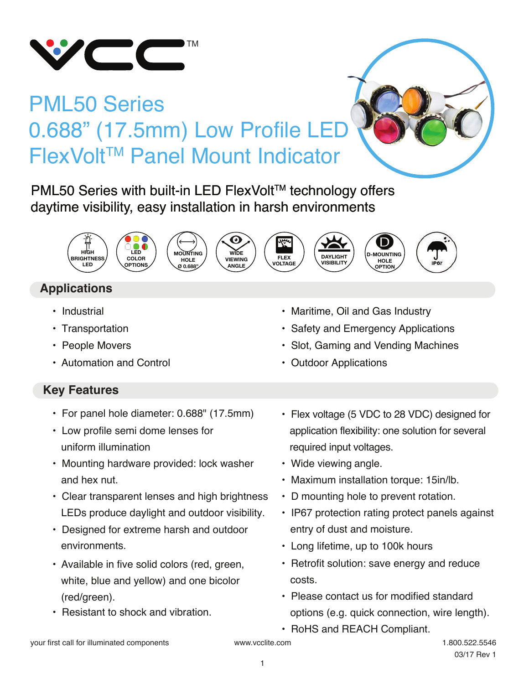

# PML50 Series 0.688" (17.5mm) Low Profile LED FlexVoltTM Panel Mount Indicator

PML50 Series with built-in LED FlexVolt™ technology offers daytime visibility, easy installation in harsh environments













## **Applications**

- Industrial
- Transportation
- People Movers
- Automation and Control

#### **Key Features**

- For panel hole diameter: 0.688" (17.5mm)
- Low profile semi dome lenses for uniform illumination
- Mounting hardware provided: lock washer and hex nut.
- Clear transparent lenses and high brightness LEDs produce daylight and outdoor visibility.
- Designed for extreme harsh and outdoor environments. **• Long lifetime, up to 100k hours**
- Available in five solid colors (red, green, white, blue and yellow) and one bicolor (red/green).
- Resistant to shock and vibration.

• Safety and Emergency Applications

• Maritime, Oil and Gas Industry

- Slot, Gaming and Vending Machines
- Outdoor Applications

**DAYLIGHT VISIBILITY**

- Flex voltage (5 VDC to 28 VDC) designed for application flexibility: one solution for several required input voltages.
- Wide viewing angle.
- Maximum installation torque: 15in/lb.
- D mounting hole to prevent rotation.
- IP67 protection rating protect panels against entry of dust and moisture.
- 
- Retrofit solution: save energy and reduce costs.
- Please contact us for modified standard options (e.g. quick connection, wire length).
- RoHS and REACH Compliant.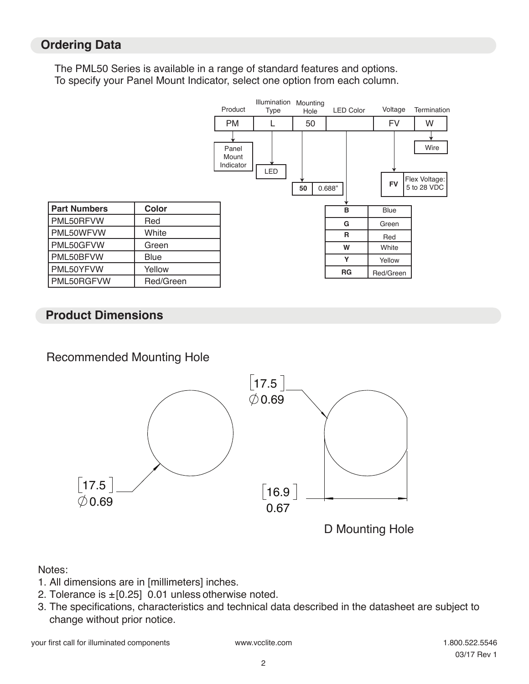#### **Ordering Data**

The PML50 Series is available in a range of standard features and options. To specify your Panel Mount Indicator, select one option from each column.



#### **Product Dimensions**

Recommended Mounting Hole



#### Notes:

- 1. All dimensions are in [millimeters] inches.
- 2. Tolerance is  $\pm$  [0.25] 0.01 unless otherwise noted.
- 3. The specifications, characteristics and technical data described in the datasheet are subject to change without prior notice.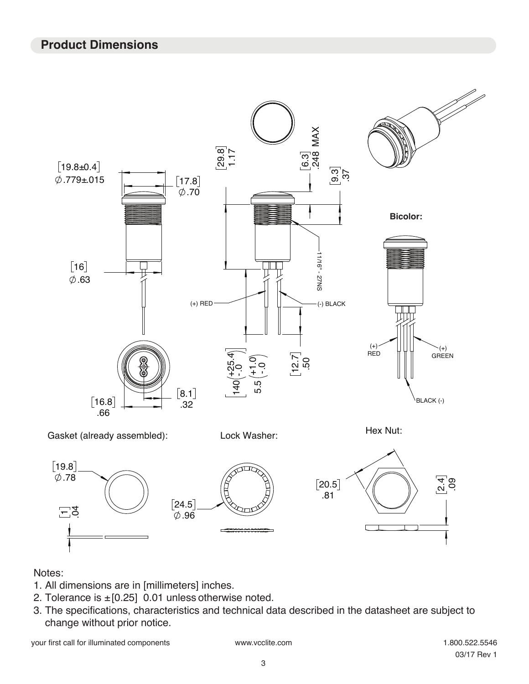#### **Product Dimensions**



#### Notes:

- 1. All dimensions are in [millimeters] inches.
- 2. Tolerance is  $\pm$  [0.25] 0.01 unless otherwise noted.
- 3. The specifications, characteristics and technical data described in the datasheet are subject to change without prior notice.

your first call for illuminated components www.vcclite.com 1.800.522.5546